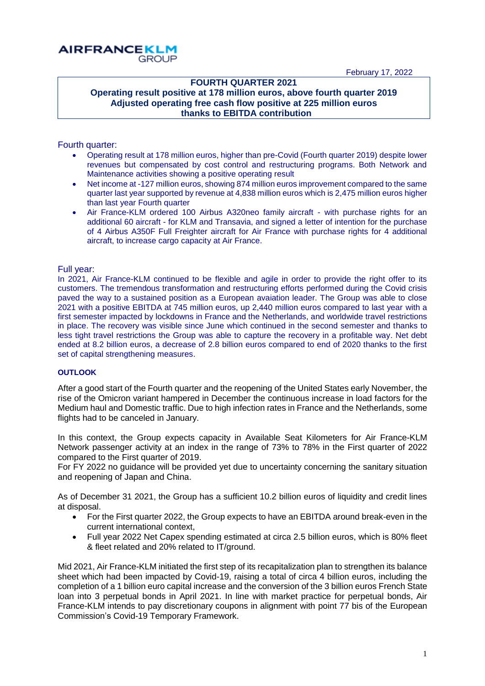February 17, 2022



### **FOURTH QUARTER 2021 Operating result positive at 178 million euros, above fourth quarter 2019 Adjusted operating free cash flow positive at 225 million euros thanks to EBITDA contribution**

### Fourth quarter:

- Operating result at 178 million euros, higher than pre-Covid (Fourth quarter 2019) despite lower revenues but compensated by cost control and restructuring programs. Both Network and Maintenance activities showing a positive operating result
- Net income at -127 million euros, showing 874 million euros improvement compared to the same quarter last year supported by revenue at 4,838 million euros which is 2,475 million euros higher than last year Fourth quarter
- Air France-KLM ordered 100 Airbus A320neo family aircraft with purchase rights for an additional 60 aircraft - for KLM and Transavia, and signed a letter of intention for the purchase of 4 Airbus A350F Full Freighter aircraft for Air France with purchase rights for 4 additional aircraft, to increase cargo capacity at Air France.

### Full year:

In 2021, Air France-KLM continued to be flexible and agile in order to provide the right offer to its customers. The tremendous transformation and restructuring efforts performed during the Covid crisis paved the way to a sustained position as a European avaiation leader. The Group was able to close 2021 with a positive EBITDA at 745 million euros, up 2,440 million euros compared to last year with a first semester impacted by lockdowns in France and the Netherlands, and worldwide travel restrictions in place. The recovery was visible since June which continued in the second semester and thanks to less tight travel restrictions the Group was able to capture the recovery in a profitable way. Net debt ended at 8.2 billion euros, a decrease of 2.8 billion euros compared to end of 2020 thanks to the first set of capital strengthening measures.

### **OUTLOOK**

After a good start of the Fourth quarter and the reopening of the United States early November, the rise of the Omicron variant hampered in December the continuous increase in load factors for the Medium haul and Domestic traffic. Due to high infection rates in France and the Netherlands, some flights had to be canceled in January.

In this context, the Group expects capacity in Available Seat Kilometers for Air France-KLM Network passenger activity at an index in the range of 73% to 78% in the First quarter of 2022 compared to the First quarter of 2019.

For FY 2022 no guidance will be provided yet due to uncertainty concerning the sanitary situation and reopening of Japan and China.

As of December 31 2021, the Group has a sufficient 10.2 billion euros of liquidity and credit lines at disposal.

- For the First quarter 2022, the Group expects to have an EBITDA around break-even in the current international context,
- Full year 2022 Net Capex spending estimated at circa 2.5 billion euros, which is 80% fleet & fleet related and 20% related to IT/ground.

Mid 2021, Air France-KLM initiated the first step of its recapitalization plan to strengthen its balance sheet which had been impacted by Covid-19, raising a total of circa 4 billion euros, including the completion of a 1 billion euro capital increase and the conversion of the 3 billion euros French State loan into 3 perpetual bonds in April 2021. In line with market practice for perpetual bonds, Air France-KLM intends to pay discretionary coupons in alignment with point 77 bis of the European Commission's Covid-19 Temporary Framework.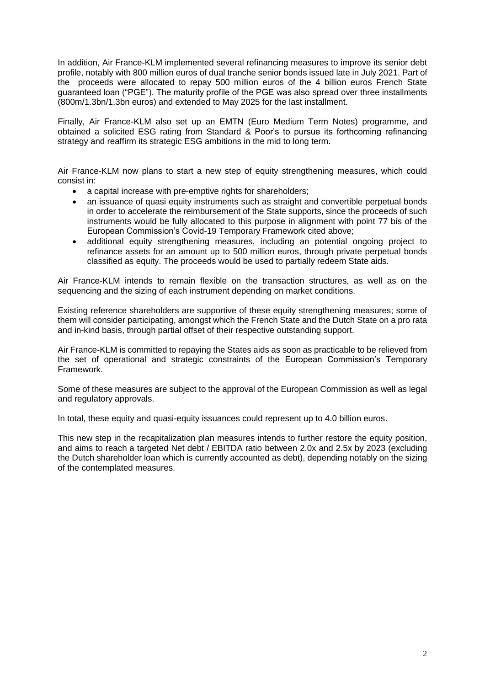In addition, Air France-KLM implemented several refinancing measures to improve its senior debt profile, notably with 800 million euros of dual tranche senior bonds issued late in July 2021. Part of the proceeds were allocated to repay 500 million euros of the 4 billion euros French State guaranteed loan ("PGE"). The maturity profile of the PGE was also spread over three installments (800m/1.3bn/1.3bn euros) and extended to May 2025 for the last installment.

Finally, Air France-KLM also set up an EMTN (Euro Medium Term Notes) programme, and obtained a solicited ESG rating from Standard & Poor's to pursue its forthcoming refinancing strategy and reaffirm its strategic ESG ambitions in the mid to long term.

Air France-KLM now plans to start a new step of equity strengthening measures, which could consist in:

- a capital increase with pre-emptive rights for shareholders;
- an issuance of quasi equity instruments such as straight and convertible perpetual bonds in order to accelerate the reimbursement of the State supports, since the proceeds of such instruments would be fully allocated to this purpose in alignment with point 77 bis of the European Commission's Covid-19 Temporary Framework cited above;
- additional equity strengthening measures, including an potential ongoing project to refinance assets for an amount up to 500 million euros, through private perpetual bonds classified as equity. The proceeds would be used to partially redeem State aids.

Air France-KLM intends to remain flexible on the transaction structures, as well as on the sequencing and the sizing of each instrument depending on market conditions.

Existing reference shareholders are supportive of these equity strengthening measures; some of them will consider participating, amongst which the French State and the Dutch State on a pro rata and in-kind basis, through partial offset of their respective outstanding support.

Air France-KLM is committed to repaying the States aids as soon as practicable to be relieved from the set of operational and strategic constraints of the European Commission's Temporary Framework.

Some of these measures are subject to the approval of the European Commission as well as legal and regulatory approvals.

In total, these equity and quasi-equity issuances could represent up to 4.0 billion euros.

This new step in the recapitalization plan measures intends to further restore the equity position, and aims to reach a targeted Net debt / EBITDA ratio between 2.0x and 2.5x by 2023 (excluding the Dutch shareholder loan which is currently accounted as debt), depending notably on the sizing of the contemplated measures.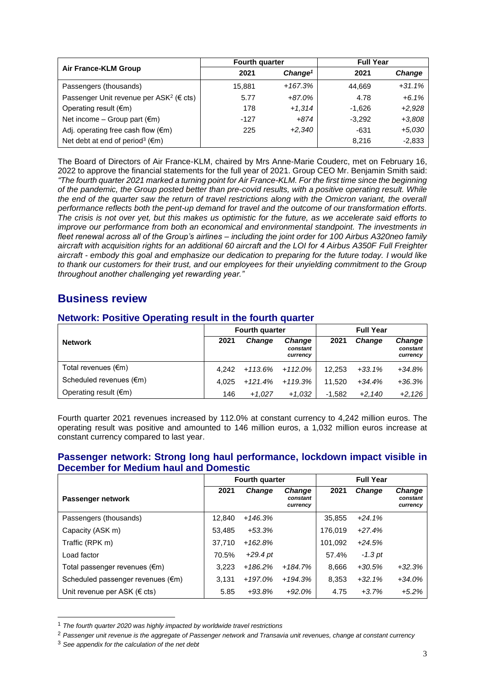|                                                               | <b>Fourth quarter</b> |                     | <b>Full Year</b> |               |  |
|---------------------------------------------------------------|-----------------------|---------------------|------------------|---------------|--|
| Air France-KLM Group                                          | 2021                  | Change <sup>1</sup> | 2021             | <b>Change</b> |  |
| Passengers (thousands)                                        | 15,881                | +167.3%             | 44.669           | $+31.1%$      |  |
| Passenger Unit revenue per ASK <sup>2</sup> ( $\epsilon$ cts) | 5.77                  | +87.0%              | 4.78             | $+6.1%$       |  |
| Operating result $(\epsilon m)$                               | 178                   | $+1,314$            | $-1.626$         | $+2,928$      |  |
| Net income – Group part $(\epsilon m)$                        | -127                  | +874                | $-3.292$         | $+3,808$      |  |
| Adj. operating free cash flow $(\epsilon m)$                  | 225                   | $+2,340$            | $-631$           | $+5,030$      |  |
| Net debt at end of period <sup>3</sup> ( $\epsilon$ m)        |                       |                     | 8.216            | $-2,833$      |  |

The Board of Directors of Air France-KLM, chaired by Mrs Anne-Marie Couderc, met on February 16, 2022 to approve the financial statements for the full year of 2021. Group CEO Mr. Benjamin Smith said: *"The fourth quarter 2021 marked a turning point for Air France-KLM. For the first time since the beginning of the pandemic, the Group posted better than pre-covid results, with a positive operating result. While the end of the quarter saw the return of travel restrictions along with the Omicron variant, the overall performance reflects both the pent-up demand for travel and the outcome of our transformation efforts. The crisis is not over yet, but this makes us optimistic for the future, as we accelerate said efforts to improve our performance from both an economical and environmental standpoint. The investments in fleet renewal across all of the Group's airlines – including the joint order for 100 Airbus A320neo family aircraft with acquisition rights for an additional 60 aircraft and the LOI for 4 Airbus A350F Full Freighter aircraft - embody this goal and emphasize our dedication to preparing for the future today. I would like to thank our customers for their trust, and our employees for their unyielding commitment to the Group throughout another challenging yet rewarding year."*

# **Business review**

|                                 |       | <b>Fourth quarter</b> |                                       |          |               | <b>Full Year</b>                      |  |
|---------------------------------|-------|-----------------------|---------------------------------------|----------|---------------|---------------------------------------|--|
| <b>Network</b>                  | 2021  | Change                | <b>Change</b><br>constant<br>currency | 2021     | <b>Change</b> | <b>Change</b><br>constant<br>currency |  |
| Total revenues $(\epsilon m)$   | 4.242 | +113.6%               | +112.0%                               | 12.253   | $+33.1%$      | $+34.8%$                              |  |
| Scheduled revenues (€m)         | 4.025 | $+121.4%$             | +119.3%                               | 11.520   | $+34.4%$      | $+36.3%$                              |  |
| Operating result $(\epsilon m)$ | 146   | $+1.027$              | $+1,032$                              | $-1.582$ | $+2.140$      | $+2,126$                              |  |

## **Network: Positive Operating result in the fourth quarter**

Fourth quarter 2021 revenues increased by 112.0% at constant currency to 4,242 million euros. The operating result was positive and amounted to 146 million euros, a 1,032 million euros increase at constant currency compared to last year.

# **Passenger network: Strong long haul performance, lockdown impact visible in December for Medium haul and Domestic**

|                                   | Fourth quarter |               |                                       | <b>Full Year</b> |           |                                       |
|-----------------------------------|----------------|---------------|---------------------------------------|------------------|-----------|---------------------------------------|
| Passenger network                 | 2021           | <b>Change</b> | <b>Change</b><br>constant<br>currency | 2021             | Change    | <b>Change</b><br>constant<br>currency |
| Passengers (thousands)            | 12,840         | $+146.3%$     |                                       | 35,855           | $+24.1%$  |                                       |
| Capacity (ASK m)                  | 53,485         | $+53.3%$      |                                       | 176,019          | $+27.4%$  |                                       |
| Traffic (RPK m)                   | 37.710         | $+162.8%$     |                                       | 101,092          | $+24.5%$  |                                       |
| Load factor                       | 70.5%          | $+29.4$ pt    |                                       | 57.4%            | $-1.3$ pt |                                       |
| Total passenger revenues (€m)     | 3.223          | $+186.2%$     | $+184.7%$                             | 8.666            | $+30.5%$  | $+32.3%$                              |
| Scheduled passenger revenues (€m) | 3.131          | $+197.0%$     | $+194.3%$                             | 8.353            | $+32.1%$  | $+34.0%$                              |
| Unit revenue per ASK (€ cts)      | 5.85           | $+93.8%$      | $+92.0%$                              | 4.75             | $+3.7%$   | $+5.2%$                               |

<sup>1</sup> *The fourth quarter 2020 was highly impacted by worldwide travel restrictions*

 $\overline{a}$ 

<sup>&</sup>lt;sup>2</sup> Passenger unit revenue is the aggregate of Passenger network and Transavia unit revenues, change at constant currency

<sup>3</sup> *See appendix for the calculation of the net debt*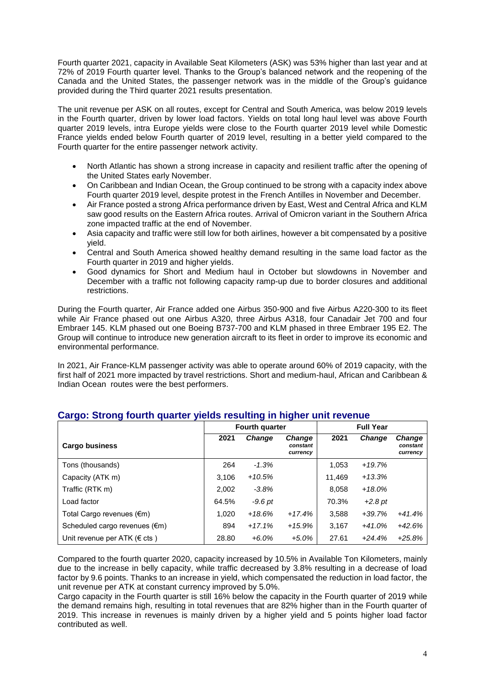Fourth quarter 2021, capacity in Available Seat Kilometers (ASK) was 53% higher than last year and at 72% of 2019 Fourth quarter level. Thanks to the Group's balanced network and the reopening of the Canada and the United States, the passenger network was in the middle of the Group's guidance provided during the Third quarter 2021 results presentation.

The unit revenue per ASK on all routes, except for Central and South America, was below 2019 levels in the Fourth quarter, driven by lower load factors. Yields on total long haul level was above Fourth quarter 2019 levels, intra Europe yields were close to the Fourth quarter 2019 level while Domestic France yields ended below Fourth quarter of 2019 level, resulting in a better yield compared to the Fourth quarter for the entire passenger network activity.

- North Atlantic has shown a strong increase in capacity and resilient traffic after the opening of the United States early November.
- On Caribbean and Indian Ocean, the Group continued to be strong with a capacity index above Fourth quarter 2019 level, despite protest in the French Antilles in November and December.
- Air France posted a strong Africa performance driven by East, West and Central Africa and KLM saw good results on the Eastern Africa routes. Arrival of Omicron variant in the Southern Africa zone impacted traffic at the end of November.
- Asia capacity and traffic were still low for both airlines, however a bit compensated by a positive yield.
- Central and South America showed healthy demand resulting in the same load factor as the Fourth quarter in 2019 and higher yields.
- Good dynamics for Short and Medium haul in October but slowdowns in November and December with a traffic not following capacity ramp-up due to border closures and additional restrictions.

During the Fourth quarter, Air France added one Airbus 350-900 and five Airbus A220-300 to its fleet while Air France phased out one Airbus A320, three Airbus A318, four Canadair Jet 700 and four Embraer 145. KLM phased out one Boeing B737-700 and KLM phased in three Embraer 195 E2. The Group will continue to introduce new generation aircraft to its fleet in order to improve its economic and environmental performance.

In 2021, Air France-KLM passenger activity was able to operate around 60% of 2019 capacity, with the first half of 2021 more impacted by travel restrictions. Short and medium-haul, African and Caribbean & Indian Ocean routes were the best performers.

|                                         | Fourth quarter |               | <b>Full Year</b>                      |        |               |                                       |
|-----------------------------------------|----------------|---------------|---------------------------------------|--------|---------------|---------------------------------------|
| <b>Cargo business</b>                   | 2021           | <b>Change</b> | <b>Change</b><br>constant<br>currency | 2021   | <b>Change</b> | <b>Change</b><br>constant<br>currency |
| Tons (thousands)                        | 264            | $-1.3%$       |                                       | 1,053  | $+19.7%$      |                                       |
| Capacity (ATK m)                        | 3,106          | $+10.5%$      |                                       | 11,469 | $+13.3%$      |                                       |
| Traffic (RTK m)                         | 2,002          | $-3.8\%$      |                                       | 8,058  | $+18.0\%$     |                                       |
| Load factor                             | 64.5%          | -9.6 pt       |                                       | 70.3%  | $+2.8pt$      |                                       |
| Total Cargo revenues (€m)               | 1,020          | $+18.6%$      | $+17.4%$                              | 3,588  | $+39.7%$      | $+41.4%$                              |
| Scheduled cargo revenues $(\epsilon m)$ | 894            | $+17.1%$      | $+15.9%$                              | 3,167  | $+41.0%$      | $+42.6%$                              |
| Unit revenue per ATK ( $\epsilon$ cts)  | 28.80          | $+6.0\%$      | $+5.0\%$                              | 27.61  | $+24.4%$      | $+25.8%$                              |

## **Cargo: Strong fourth quarter yields resulting in higher unit revenue**

Compared to the fourth quarter 2020, capacity increased by 10.5% in Available Ton Kilometers, mainly due to the increase in belly capacity, while traffic decreased by 3.8% resulting in a decrease of load factor by 9.6 points. Thanks to an increase in yield, which compensated the reduction in load factor, the unit revenue per ATK at constant currency improved by 5.0%.

Cargo capacity in the Fourth quarter is still 16% below the capacity in the Fourth quarter of 2019 while the demand remains high, resulting in total revenues that are 82% higher than in the Fourth quarter of 2019. This increase in revenues is mainly driven by a higher yield and 5 points higher load factor contributed as well.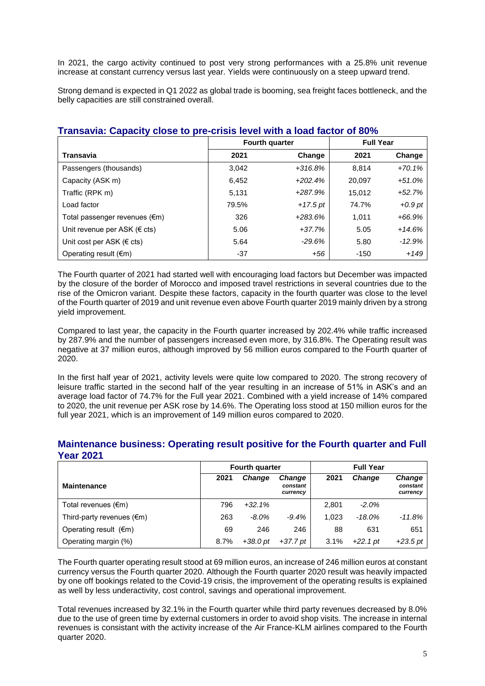In 2021, the cargo activity continued to post very strong performances with a 25.8% unit revenue increase at constant currency versus last year. Yields were continuously on a steep upward trend.

Strong demand is expected in Q1 2022 as global trade is booming, sea freight faces bottleneck, and the belly capacities are still constrained overall.

|                                         |       | Fourth quarter | <b>Full Year</b> |           |  |
|-----------------------------------------|-------|----------------|------------------|-----------|--|
| Transavia                               | 2021  | Change         | 2021             | Change    |  |
| Passengers (thousands)                  | 3.042 | $+316.8%$      | 8.814            | $+70.1%$  |  |
| Capacity (ASK m)                        | 6,452 | $+202.4%$      | 20,097           | $+51.0%$  |  |
| Traffic (RPK m)                         | 5.131 | $+287.9%$      | 15.012           | $+52.7%$  |  |
| Load factor                             | 79.5% | $+17.5$ pt     | 74.7%            | $+0.9$ pt |  |
| Total passenger revenues $(\epsilon m)$ | 326   | $+283.6%$      | 1.011            | $+66.9%$  |  |
| Unit revenue per ASK ( $\in$ cts)       | 5.06  | $+37.7%$       | 5.05             | $+14.6%$  |  |
| Unit cost per ASK ( $\epsilon$ cts)     | 5.64  | $-29.6%$       | 5.80             | $-12.9%$  |  |
| Operating result $(\epsilon m)$         | $-37$ | +56            | $-150$           | $+149$    |  |

## **Transavia: Capacity close to pre-crisis level with a load factor of 80%**

The Fourth quarter of 2021 had started well with encouraging load factors but December was impacted by the closure of the border of Morocco and imposed travel restrictions in several countries due to the rise of the Omicron variant. Despite these factors, capacity in the fourth quarter was close to the level of the Fourth quarter of 2019 and unit revenue even above Fourth quarter 2019 mainly driven by a strong yield improvement.

Compared to last year, the capacity in the Fourth quarter increased by 202.4% while traffic increased by 287.9% and the number of passengers increased even more, by 316.8%. The Operating result was negative at 37 million euros, although improved by 56 million euros compared to the Fourth quarter of 2020.

In the first half year of 2021, activity levels were quite low compared to 2020. The strong recovery of leisure traffic started in the second half of the year resulting in an increase of 51% in ASK's and an average load factor of 74.7% for the Full year 2021. Combined with a yield increase of 14% compared to 2020, the unit revenue per ASK rose by 14.6%. The Operating loss stood at 150 million euros for the full year 2021, which is an improvement of 149 million euros compared to 2020.

|                                     | <b>Fourth quarter</b> |               |                                       | <b>Full Year</b> |            |                                       |  |
|-------------------------------------|-----------------------|---------------|---------------------------------------|------------------|------------|---------------------------------------|--|
| <b>Maintenance</b>                  | 2021                  | <b>Change</b> | <b>Change</b><br>constant<br>currency | 2021             | Change     | <b>Change</b><br>constant<br>currency |  |
| Total revenues $(\epsilon m)$       | 796                   | $+32.1%$      |                                       | 2.801            | $-2.0%$    |                                       |  |
| Third-party revenues $(\epsilon m)$ | 263                   | $-8.0\%$      | $-9.4%$                               | 1.023            | -18.0%     | $-11.8%$                              |  |
| Operating result $(\epsilon m)$     | 69                    | 246           | 246                                   | 88               | 631        | 651                                   |  |
| Operating margin (%)                | 8.7%                  | $+38.0pt$     | $+37.7$ pt                            | 3.1%             | $+22.1$ pt | $+23.5$ pt                            |  |

### **Maintenance business: Operating result positive for the Fourth quarter and Full Year 2021**

The Fourth quarter operating result stood at 69 million euros, an increase of 246 million euros at constant currency versus the Fourth quarter 2020. Although the Fourth quarter 2020 result was heavily impacted by one off bookings related to the Covid-19 crisis, the improvement of the operating results is explained as well by less underactivity, cost control, savings and operational improvement.

Total revenues increased by 32.1% in the Fourth quarter while third party revenues decreased by 8.0% due to the use of green time by external customers in order to avoid shop visits. The increase in internal revenues is consistant with the activity increase of the Air France-KLM airlines compared to the Fourth quarter 2020.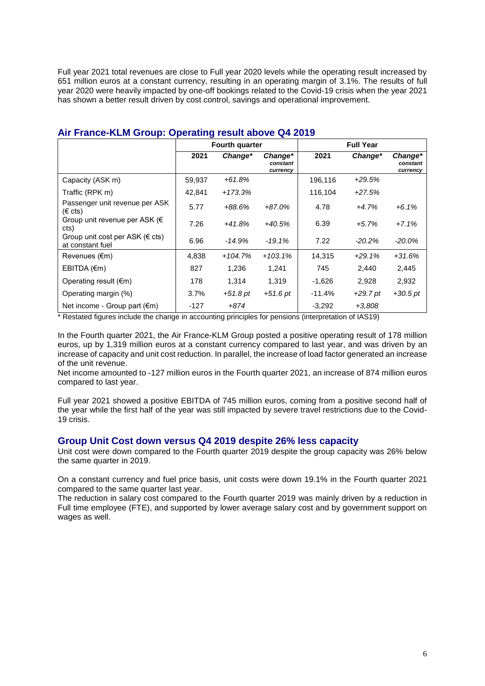Full year 2021 total revenues are close to Full year 2020 levels while the operating result increased by 651 million euros at a constant currency, resulting in an operating margin of 3.1%. The results of full year 2020 were heavily impacted by one-off bookings related to the Covid-19 crisis when the year 2021 has shown a better result driven by cost control, savings and operational improvement.

|                                                            |        | <b>Fourth quarter</b> |                                 |          | <b>Full Year</b> |                                 |
|------------------------------------------------------------|--------|-----------------------|---------------------------------|----------|------------------|---------------------------------|
|                                                            | 2021   | Change*               | Change*<br>constant<br>currency | 2021     | Change*          | Change*<br>constant<br>currency |
| Capacity (ASK m)                                           | 59,937 | $+61.8%$              |                                 | 196,116  | $+29.5%$         |                                 |
| Traffic (RPK m)                                            | 42,841 | $+173.3%$             |                                 | 116,104  | $+27.5%$         |                                 |
| Passenger unit revenue per ASK<br>$(\epsilon \text{ cts})$ | 5.77   | $+88.6%$              | $+87.0%$                        | 4.78     | $+4.7%$          | $+6.1%$                         |
| Group unit revenue per ASK ( $\epsilon$<br>cts)            | 7.26   | $+41.8%$              | $+40.5%$                        | 6.39     | $+5.7%$          | $+7.1%$                         |
| Group unit cost per ASK ( $\in$ cts)<br>at constant fuel   | 6.96   | -14.9%                | $-19.1%$                        | 7.22     | $-20.2\%$        | $-20.0\%$                       |
| Revenues $(\epsilon m)$                                    | 4,838  | $+104.7%$             | $+103.1%$                       | 14,315   | $+29.1%$         | $+31.6%$                        |
| EBITDA $(\epsilon m)$                                      | 827    | 1,236                 | 1,241                           | 745      | 2,440            | 2,445                           |
| Operating result $(\epsilon m)$                            | 178    | 1,314                 | 1,319                           | $-1,626$ | 2,928            | 2,932                           |
| Operating margin (%)                                       | 3.7%   | $+51.8pt$             | $+51.6$ pt                      | $-11.4%$ | $+29.7$ pt       | $+30.5$ pt                      |
| Net income - Group part $(\epsilon m)$                     | -127   | $+874$                |                                 | $-3,292$ | $+3,808$         |                                 |

## **Air France-KLM Group: Operating result above Q4 2019**

\* Restated figures include the change in accounting principles for pensions (interpretation of IAS19)

In the Fourth quarter 2021, the Air France-KLM Group posted a positive operating result of 178 million euros, up by 1,319 million euros at a constant currency compared to last year, and was driven by an increase of capacity and unit cost reduction. In parallel, the increase of load factor generated an increase of the unit revenue.

Net income amounted to -127 million euros in the Fourth quarter 2021, an increase of 874 million euros compared to last year.

Full year 2021 showed a positive EBITDA of 745 million euros, coming from a positive second half of the year while the first half of the year was still impacted by severe travel restrictions due to the Covid-19 crisis.

## **Group Unit Cost down versus Q4 2019 despite 26% less capacity**

Unit cost were down compared to the Fourth quarter 2019 despite the group capacity was 26% below the same quarter in 2019.

On a constant currency and fuel price basis, unit costs were down 19.1% in the Fourth quarter 2021 compared to the same quarter last year.

The reduction in salary cost compared to the Fourth quarter 2019 was mainly driven by a reduction in Full time employee (FTE), and supported by lower average salary cost and by government support on wages as well.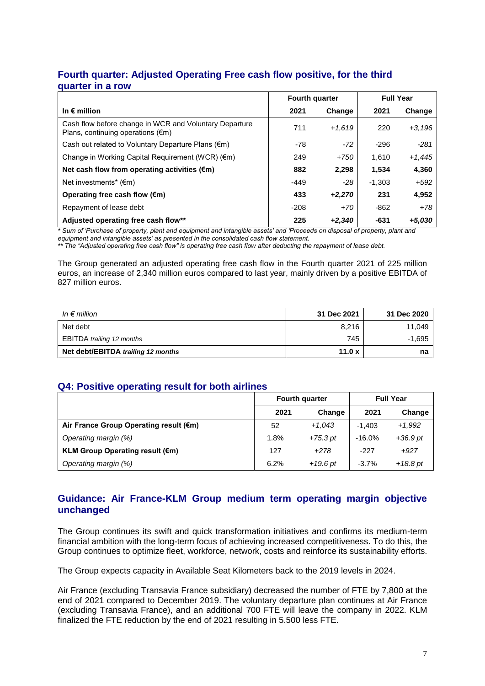# **Fourth quarter: Adjusted Operating Free cash flow positive, for the third quarter in a row**

|                                                                                                       | Fourth quarter |          | <b>Full Year</b> |          |
|-------------------------------------------------------------------------------------------------------|----------------|----------|------------------|----------|
| In $\epsilon$ million                                                                                 | 2021           | Change   | 2021             | Change   |
| Cash flow before change in WCR and Voluntary Departure<br>Plans, continuing operations $(\epsilon m)$ | 711            | $+1,619$ | 220              | $+3,196$ |
| Cash out related to Voluntary Departure Plans $(\epsilon m)$                                          | -78            | $-72$    | $-296$           | $-281$   |
| Change in Working Capital Requirement (WCR) (€m)                                                      | 249            | $+750$   | 1.610            | $+1,445$ |
| Net cash flow from operating activities (€m)                                                          | 882            | 2,298    | 1,534            | 4,360    |
| Net investments* $(\epsilon m)$                                                                       | $-449$         | $-28$    | $-1.303$         | $+592$   |
| Operating free cash flow $(\epsilon m)$                                                               | 433            | $+2,270$ | 231              | 4,952    |
| Repayment of lease debt                                                                               | $-208$         | $+70$    | $-862$           | +78      |
| Adjusted operating free cash flow**                                                                   | 225            | $+2.340$ | -631             | $+5,030$ |

*\* Sum of 'Purchase of property, plant and equipment and intangible assets' and 'Proceeds on disposal of property, plant and* 

*equipment and intangible assets' as presented in the consolidated cash flow statement.*

*\*\* The "Adjusted operating free cash flow" is operating free cash flow after deducting the repayment of lease debt.*

The Group generated an adjusted operating free cash flow in the Fourth quarter 2021 of 225 million euros, an increase of 2,340 million euros compared to last year, mainly driven by a positive EBITDA of 827 million euros.

| In $\epsilon$ million              | 31 Dec 2021 | 31 Dec 2020 |
|------------------------------------|-------------|-------------|
| Net debt                           | 8.216       | 11.049      |
| <b>EBITDA</b> trailing 12 months   | 745         | $-1.695$    |
| Net debt/EBITDA trailing 12 months | 11.0 $x$    | na          |

# **Q4: Positive operating result for both airlines**

|                                        |      | <b>Fourth quarter</b> | <b>Full Year</b> |            |
|----------------------------------------|------|-----------------------|------------------|------------|
|                                        | 2021 | Change                | 2021             | Change     |
| Air France Group Operating result (€m) | 52   | $+1,043$              | $-1.403$         | $+1.992$   |
| Operating margin (%)                   | 1.8% | $+75.3$ pt            | $-16.0%$         | $+36.9pt$  |
| <b>KLM Group Operating result (€m)</b> | 127  | $+278$                | $-227$           | $+927$     |
| Operating margin (%)                   | 6.2% | $+19.6$ pt            | $-3.7%$          | $+18.8$ pt |

# **Guidance: Air France-KLM Group medium term operating margin objective unchanged**

The Group continues its swift and quick transformation initiatives and confirms its medium-term financial ambition with the long-term focus of achieving increased competitiveness. To do this, the Group continues to optimize fleet, workforce, network, costs and reinforce its sustainability efforts.

The Group expects capacity in Available Seat Kilometers back to the 2019 levels in 2024.

Air France (excluding Transavia France subsidiary) decreased the number of FTE by 7,800 at the end of 2021 compared to December 2019. The voluntary departure plan continues at Air France (excluding Transavia France), and an additional 700 FTE will leave the company in 2022. KLM finalized the FTE reduction by the end of 2021 resulting in 5.500 less FTE.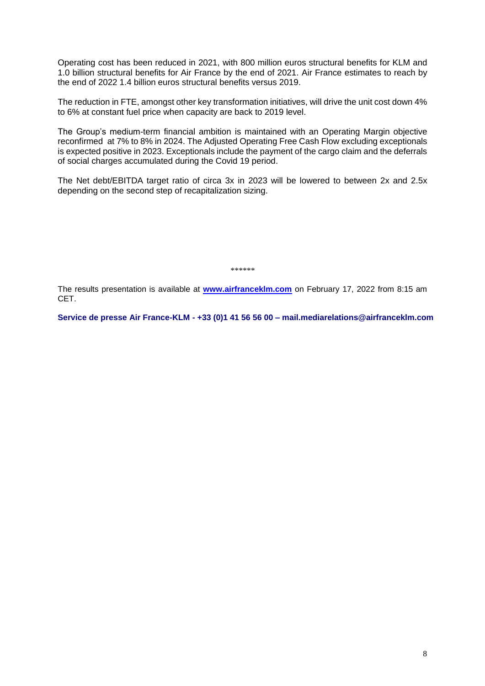Operating cost has been reduced in 2021, with 800 million euros structural benefits for KLM and 1.0 billion structural benefits for Air France by the end of 2021. Air France estimates to reach by the end of 2022 1.4 billion euros structural benefits versus 2019.

The reduction in FTE, amongst other key transformation initiatives, will drive the unit cost down 4% to 6% at constant fuel price when capacity are back to 2019 level.

The Group's medium-term financial ambition is maintained with an Operating Margin objective reconfirmed at 7% to 8% in 2024. The Adjusted Operating Free Cash Flow excluding exceptionals is expected positive in 2023. Exceptionals include the payment of the cargo claim and the deferrals of social charges accumulated during the Covid 19 period.

The Net debt/EBITDA target ratio of circa 3x in 2023 will be lowered to between 2x and 2.5x depending on the second step of recapitalization sizing.

*\*\*\*\*\*\**

The results presentation is available at **www.airfranceklm.com** on February 17, 2022 from 8:15 am CET.

**Service de presse Air France-KLM - +33 (0)1 41 56 56 00 – mail.mediarelations@airfranceklm.com**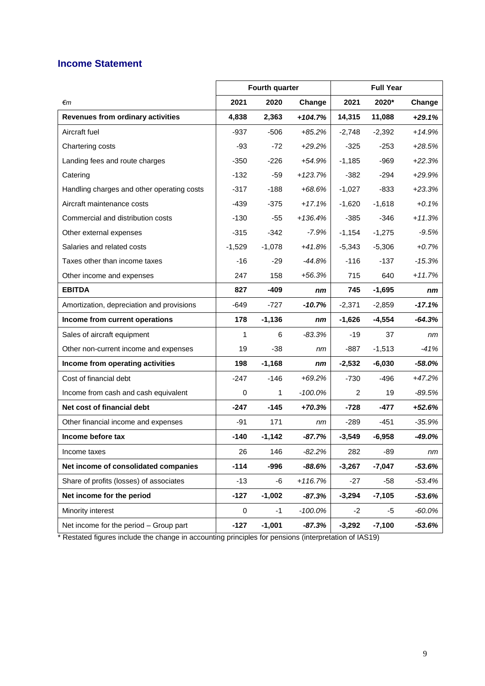# **Income Statement**

|                                            |          | Fourth quarter |            |          | <b>Full Year</b> |           |
|--------------------------------------------|----------|----------------|------------|----------|------------------|-----------|
| €m                                         | 2021     | 2020           | Change     | 2021     | 2020*            | Change    |
| <b>Revenues from ordinary activities</b>   | 4,838    | 2,363          | $+104.7%$  | 14,315   | 11,088           | $+29.1%$  |
| Aircraft fuel                              | -937     | $-506$         | $+85.2%$   | $-2,748$ | $-2,392$         | $+14.9%$  |
| Chartering costs                           | $-93$    | $-72$          | $+29.2%$   | $-325$   | $-253$           | $+28.5%$  |
| Landing fees and route charges             | $-350$   | $-226$         | $+54.9%$   | $-1,185$ | $-969$           | $+22.3%$  |
| Catering                                   | $-132$   | $-59$          | $+123.7%$  | $-382$   | $-294$           | $+29.9%$  |
| Handling charges and other operating costs | $-317$   | $-188$         | +68.6%     | $-1,027$ | $-833$           | $+23.3%$  |
| Aircraft maintenance costs                 | $-439$   | $-375$         | $+17.1%$   | $-1,620$ | $-1,618$         | $+0.1%$   |
| Commercial and distribution costs          | $-130$   | $-55$          | $+136.4%$  | $-385$   | $-346$           | $+11.3%$  |
| Other external expenses                    | $-315$   | -342           | $-7.9%$    | $-1,154$ | $-1,275$         | $-9.5%$   |
| Salaries and related costs                 | $-1,529$ | $-1,078$       | $+41.8%$   | $-5,343$ | $-5,306$         | $+0.7%$   |
| Taxes other than income taxes              | $-16$    | $-29$          | $-44.8%$   | $-116$   | $-137$           | $-15.3%$  |
| Other income and expenses                  | 247      | 158            | $+56.3%$   | 715      | 640              | $+11.7%$  |
| <b>EBITDA</b>                              | 827      | $-409$         | nm         | 745      | $-1,695$         | nm        |
| Amortization, depreciation and provisions  | $-649$   | $-727$         | $-10.7%$   | $-2,371$ | $-2,859$         | $-17.1%$  |
| Income from current operations             | 178      | $-1,136$       | nm         | $-1,626$ | $-4,554$         | $-64.3%$  |
| Sales of aircraft equipment                | 1        | 6              | $-83.3%$   | -19      | 37               | nm        |
| Other non-current income and expenses      | 19       | $-38$          | nm         | $-887$   | $-1,513$         | $-41%$    |
| Income from operating activities           | 198      | $-1,168$       | nm         | $-2,532$ | $-6,030$         | $-58.0%$  |
| Cost of financial debt                     | $-247$   | $-146$         | $+69.2%$   | $-730$   | $-496$           | $+47.2%$  |
| Income from cash and cash equivalent       | 0        | 1              | $-100.0\%$ | 2        | 19               | $-89.5%$  |
| Net cost of financial debt                 | $-247$   | $-145$         | $+70.3%$   | $-728$   | -477             | $+52.6%$  |
| Other financial income and expenses        | $-91$    | 171            | nm         | $-289$   | $-451$           | $-35.9%$  |
| Income before tax                          | $-140$   | $-1,142$       | $-87.7%$   | $-3,549$ | $-6,958$         | $-49.0%$  |
| Income taxes                               | 26       | 146            | $-82.2%$   | 282      | $-89$            | nm        |
| Net income of consolidated companies       | $-114$   | $-996$         | $-88.6%$   | $-3,267$ | $-7,047$         | $-53.6%$  |
| Share of profits (losses) of associates    | -13      | -6             | $+116.7%$  | $-27$    | $-58$            | $-53.4%$  |
| Net income for the period                  | $-127$   | $-1,002$       | $-87.3%$   | $-3,294$ | $-7,105$         | $-53.6%$  |
| Minority interest                          | 0        | -1             | $-100.0%$  | $-2$     | -5               | $-60.0\%$ |
| Net income for the period - Group part     | $-127$   | $-1,001$       | $-87.3%$   | $-3,292$ | $-7,100$         | $-53.6%$  |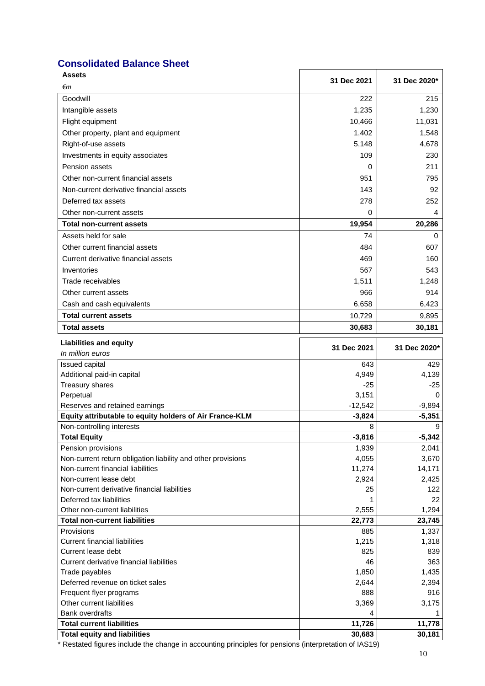# **Consolidated Balance Sheet**

| Assets                                                                | 31 Dec 2021     | 31 Dec 2020*    |
|-----------------------------------------------------------------------|-----------------|-----------------|
| €m                                                                    |                 |                 |
| Goodwill                                                              | 222             | 215             |
| Intangible assets                                                     | 1,235           | 1,230           |
| Flight equipment                                                      | 10,466          | 11,031          |
| Other property, plant and equipment                                   | 1,402           | 1,548           |
| Right-of-use assets                                                   | 5,148           | 4,678           |
| Investments in equity associates                                      | 109             | 230             |
| <b>Pension assets</b>                                                 | 0               | 211             |
| Other non-current financial assets                                    | 951             | 795             |
| Non-current derivative financial assets                               | 143             | 92              |
| Deferred tax assets                                                   | 278             | 252             |
| Other non-current assets                                              | 0               | 4               |
|                                                                       |                 |                 |
| Total non-current assets                                              | 19,954          | 20,286          |
| Assets held for sale                                                  | 74              | 0               |
| Other current financial assets                                        | 484             | 607             |
| Current derivative financial assets                                   | 469             | 160             |
| Inventories                                                           | 567             | 543             |
| Trade receivables                                                     | 1,511           | 1,248           |
| Other current assets                                                  | 966             | 914             |
| Cash and cash equivalents                                             | 6,658           | 6,423           |
| <b>Total current assets</b>                                           | 10,729          | 9,895           |
| <b>Total assets</b>                                                   | 30,683          | 30,181          |
| <b>Liabilities and equity</b>                                         |                 |                 |
| In million euros                                                      | 31 Dec 2021     | 31 Dec 2020*    |
| Issued capital                                                        | 643             | 429             |
| Additional paid-in capital                                            | 4,949           | 4,139           |
| Treasury shares                                                       | $-25$           | $-25$           |
| Perpetual                                                             | 3,151           | $\Omega$        |
| Reserves and retained earnings                                        | $-12,542$       | $-9,894$        |
| Equity attributable to equity holders of Air France-KLM               | $-3,824$        | $-5,351$        |
| Non-controlling interests                                             | 8               | 9               |
| <b>Total Equity</b>                                                   | $-3,816$        | $-5,342$        |
| Pension provisions                                                    | 1,939           | 2,041           |
| Non-current return obligation liability and other provisions          | 4,055           | 3,670           |
| Non-current financial liabilities                                     | 11,274          | 14,171          |
| Non-current lease debt                                                | 2,924           | 2,425           |
| Non-current derivative financial liabilities                          | 25              | 122             |
| Deferred tax liabilities                                              |                 | 22              |
| Other non-current liabilities<br><b>Total non-current liabilities</b> | 2,555<br>22,773 | 1,294<br>23,745 |
| Provisions                                                            | 885             | 1,337           |
| <b>Current financial liabilities</b>                                  | 1,215           | 1,318           |
| Current lease debt                                                    | 825             | 839             |
| Current derivative financial liabilities                              | 46              | 363             |
| Trade payables                                                        | 1,850           | 1,435           |
| Deferred revenue on ticket sales                                      | 2,644           | 2,394           |
| Frequent flyer programs                                               | 888             | 916             |
| Other current liabilities                                             | 3,369           | 3,175           |
| <b>Bank overdrafts</b>                                                | 4               | 1               |
| <b>Total current liabilities</b>                                      | 11,726          | 11,778          |
| <b>Total equity and liabilities</b>                                   | 30,683          | 30,181          |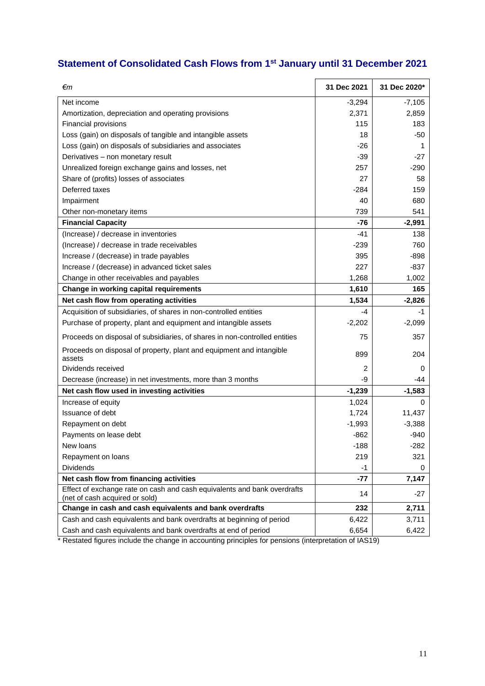# **Statement of Consolidated Cash Flows from 1st January until 31 December 2021**

| €m                                                                                                         | 31 Dec 2021 | 31 Dec 2020* |
|------------------------------------------------------------------------------------------------------------|-------------|--------------|
| Net income                                                                                                 | $-3,294$    | $-7,105$     |
| Amortization, depreciation and operating provisions                                                        | 2,371       | 2,859        |
| Financial provisions                                                                                       | 115         | 183          |
| Loss (gain) on disposals of tangible and intangible assets                                                 | 18          | $-50$        |
| Loss (gain) on disposals of subsidiaries and associates                                                    | $-26$       | 1            |
| Derivatives - non monetary result                                                                          | $-39$       | $-27$        |
| Unrealized foreign exchange gains and losses, net                                                          | 257         | $-290$       |
| Share of (profits) losses of associates                                                                    | 27          | 58           |
| Deferred taxes                                                                                             | $-284$      | 159          |
| Impairment                                                                                                 | 40          | 680          |
| Other non-monetary items                                                                                   | 739         | 541          |
| <b>Financial Capacity</b>                                                                                  | $-76$       | $-2,991$     |
| (Increase) / decrease in inventories                                                                       | $-41$       | 138          |
| (Increase) / decrease in trade receivables                                                                 | $-239$      | 760          |
| Increase / (decrease) in trade payables                                                                    | 395         | $-898$       |
| Increase / (decrease) in advanced ticket sales                                                             | 227         | $-837$       |
| Change in other receivables and payables                                                                   | 1,268       | 1,002        |
| Change in working capital requirements                                                                     | 1,610       | 165          |
| Net cash flow from operating activities                                                                    | 1,534       | $-2,826$     |
| Acquisition of subsidiaries, of shares in non-controlled entities                                          | -4          | $-1$         |
| Purchase of property, plant and equipment and intangible assets                                            | $-2,202$    | $-2,099$     |
| Proceeds on disposal of subsidiaries, of shares in non-controlled entities                                 | 75          | 357          |
| Proceeds on disposal of property, plant and equipment and intangible<br>assets                             | 899         | 204          |
| Dividends received                                                                                         | 2           | 0            |
| Decrease (increase) in net investments, more than 3 months                                                 | -9          | -44          |
| Net cash flow used in investing activities                                                                 | $-1,239$    | $-1,583$     |
| Increase of equity                                                                                         | 1,024       | $\Omega$     |
| Issuance of debt                                                                                           | 1,724       | 11,437       |
| Repayment on debt                                                                                          | $-1,993$    | $-3,388$     |
| Payments on lease debt                                                                                     | $-862$      | $-940$       |
| New loans                                                                                                  | $-188$      | $-282$       |
| Repayment on loans                                                                                         | 219         | 321          |
| <b>Dividends</b>                                                                                           | -1          | 0            |
| Net cash flow from financing activities                                                                    | $-77$       | 7,147        |
| Effect of exchange rate on cash and cash equivalents and bank overdrafts<br>(net of cash acquired or sold) | 14          | -27          |
| Change in cash and cash equivalents and bank overdrafts                                                    | 232         | 2,711        |
| Cash and cash equivalents and bank overdrafts at beginning of period                                       | 6,422       | 3,711        |
| Cash and cash equivalents and bank overdrafts at end of period                                             | 6,654       | 6,422        |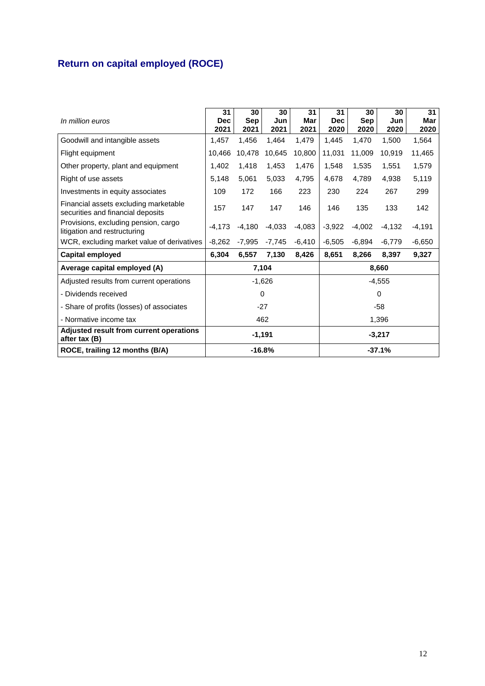# **Return on capital employed (ROCE)**

| In million euros                                                           | 31<br><b>Dec</b><br>2021 | 30<br><b>Sep</b><br>2021 | 30<br>Jun<br>2021 | 31<br>Mar<br>2021 | 31<br><b>Dec</b><br>2020 | 30<br><b>Sep</b><br>2020 | 30<br>Jun<br>2020 | 31<br>Mar<br>2020 |
|----------------------------------------------------------------------------|--------------------------|--------------------------|-------------------|-------------------|--------------------------|--------------------------|-------------------|-------------------|
| Goodwill and intangible assets                                             | 1,457                    | 1,456                    | 1,464             | 1,479             | 1.445                    | 1,470                    | 1,500             | 1,564             |
| Flight equipment                                                           | 10,466                   | 10,478                   | 10,645            | 10,800            | 11,031                   | 11,009                   | 10,919            | 11,465            |
| Other property, plant and equipment                                        | 1,402                    | 1,418                    | 1,453             | 1,476             | 1,548                    | 1,535                    | 1,551             | 1,579             |
| Right of use assets                                                        | 5.148                    | 5,061                    | 5,033             | 4,795             | 4,678                    | 4,789                    | 4,938             | 5,119             |
| Investments in equity associates                                           | 109                      | 172                      | 166               | 223               | 230                      | 224                      | 267               | 299               |
| Financial assets excluding marketable<br>securities and financial deposits | 157                      | 147                      | 147               | 146               | 146                      | 135                      | 133               | 142               |
| Provisions, excluding pension, cargo<br>litigation and restructuring       | $-4.173$                 | $-4,180$                 | $-4,033$          | $-4,083$          | $-3,922$                 | $-4,002$                 | $-4,132$          | -4,191            |
| WCR, excluding market value of derivatives                                 | $-8,262$                 | $-7,995$                 | $-7,745$          | $-6,410$          | $-6,505$                 | $-6,894$                 | $-6,779$          | $-6,650$          |
| Capital employed                                                           | 6,304                    | 6,557                    | 7,130             | 8,426             | 8,651                    | 8,266                    | 8,397             | 9,327             |
| Average capital employed (A)                                               |                          |                          | 7,104             |                   |                          |                          | 8,660             |                   |
| Adjusted results from current operations                                   |                          |                          | $-1,626$          |                   |                          |                          | $-4,555$          |                   |
| - Dividends received                                                       |                          |                          | 0                 |                   |                          |                          | $\Omega$          |                   |
| - Share of profits (losses) of associates                                  | $-27$                    |                          |                   |                   |                          |                          | -58               |                   |
| - Normative income tax                                                     | 462<br>1,396             |                          |                   |                   |                          |                          |                   |                   |
| Adjusted result from current operations<br>after tax (B)                   | $-1,191$<br>$-3,217$     |                          |                   |                   |                          |                          |                   |                   |
| ROCE, trailing 12 months (B/A)                                             | $-16.8%$<br>$-37.1%$     |                          |                   |                   |                          |                          |                   |                   |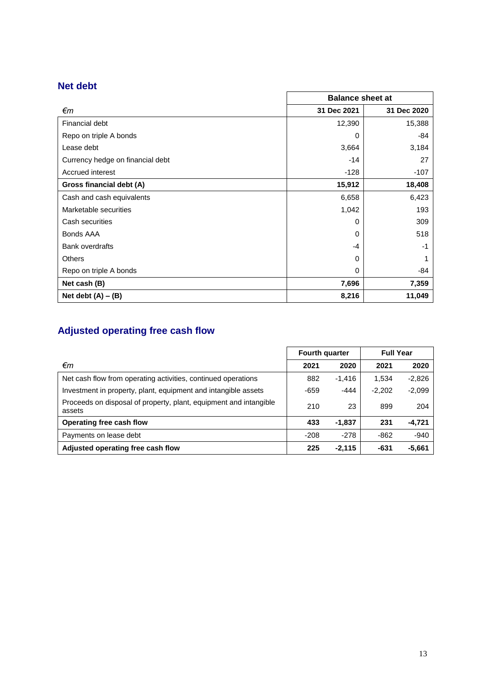# **Net debt**

|                                  | <b>Balance sheet at</b> |             |  |
|----------------------------------|-------------------------|-------------|--|
| €m                               | 31 Dec 2021             | 31 Dec 2020 |  |
| Financial debt                   | 12,390                  | 15,388      |  |
| Repo on triple A bonds           | 0                       | -84         |  |
| Lease debt                       | 3,664                   | 3,184       |  |
| Currency hedge on financial debt | $-14$                   | 27          |  |
| Accrued interest                 | $-128$                  | $-107$      |  |
| Gross financial debt (A)         | 15,912                  | 18,408      |  |
| Cash and cash equivalents        | 6,658                   | 6,423       |  |
| Marketable securities            | 1,042                   | 193         |  |
| Cash securities                  | 0                       | 309         |  |
| Bonds AAA                        | $\Omega$                | 518         |  |
| <b>Bank overdrafts</b>           | -4                      | $-1$        |  |
| <b>Others</b>                    | 0                       |             |  |
| Repo on triple A bonds           | 0                       | -84         |  |
| Net cash (B)                     | 7,696                   | 7,359       |  |
| Net debt $(A) - (B)$             | 8,216                   | 11,049      |  |

# **Adjusted operating free cash flow**

|                                                                             | Fourth quarter |          | <b>Full Year</b> |          |  |
|-----------------------------------------------------------------------------|----------------|----------|------------------|----------|--|
| €m                                                                          | 2021           | 2020     | 2021             | 2020     |  |
| Net cash flow from operating activities, continued operations               | 882            | $-1,416$ | 1.534            | $-2,826$ |  |
| Investment in property, plant, equipment and intangible assets              | -659           | $-444$   | $-2,202$         | $-2,099$ |  |
| Proceeds on disposal of property, plant, equipment and intangible<br>assets | 210            | 23       | 899              | 204      |  |
| Operating free cash flow                                                    | 433            | $-1,837$ | 231              | $-4,721$ |  |
| Payments on lease debt                                                      | $-208$         | $-278$   | -862             | $-940$   |  |
| Adjusted operating free cash flow                                           | 225            | $-2.115$ | -631             | $-5,661$ |  |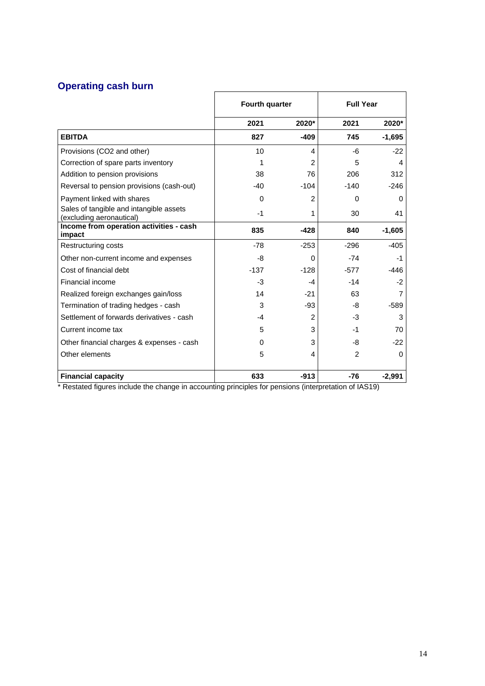# **Operating cash burn**

|                                                                     | Fourth quarter |        | <b>Full Year</b> |          |
|---------------------------------------------------------------------|----------------|--------|------------------|----------|
|                                                                     | 2021           | 2020*  | 2021             | 2020*    |
| <b>EBITDA</b>                                                       | 827            | $-409$ | 745              | $-1,695$ |
| Provisions (CO2 and other)                                          | 10             | 4      | -6               | $-22$    |
| Correction of spare parts inventory                                 |                | 2      | 5                | 4        |
| Addition to pension provisions                                      | 38             | 76     | 206              | 312      |
| Reversal to pension provisions (cash-out)                           | $-40$          | $-104$ | $-140$           | $-246$   |
| Payment linked with shares                                          | $\Omega$       | 2      | $\Omega$         | 0        |
| Sales of tangible and intangible assets<br>(excluding aeronautical) | $-1$           | 1      | 30               | 41       |
| Income from operation activities - cash<br>impact                   | 835            | $-428$ | 840              | $-1,605$ |
| Restructuring costs                                                 | $-78$          | $-253$ | $-296$           | $-405$   |
| Other non-current income and expenses                               | -8             | 0      | $-74$            | $-1$     |
| Cost of financial debt                                              | $-137$         | $-128$ | $-577$           | $-446$   |
| Financial income                                                    | -3             | $-4$   | $-14$            | $-2$     |
| Realized foreign exchanges gain/loss                                | 14             | $-21$  | 63               | 7        |
| Termination of trading hedges - cash                                | 3              | -93    | -8               | $-589$   |
| Settlement of forwards derivatives - cash                           | $-4$           | 2      | -3               | 3        |
| Current income tax                                                  | 5              | 3      | -1               | 70       |
| Other financial charges & expenses - cash                           | $\Omega$       | 3      | -8               | $-22$    |
| Other elements                                                      | 5              | 4      | 2                | 0        |
| <b>Financial capacity</b>                                           | 633            | $-913$ | $-76$            | $-2,991$ |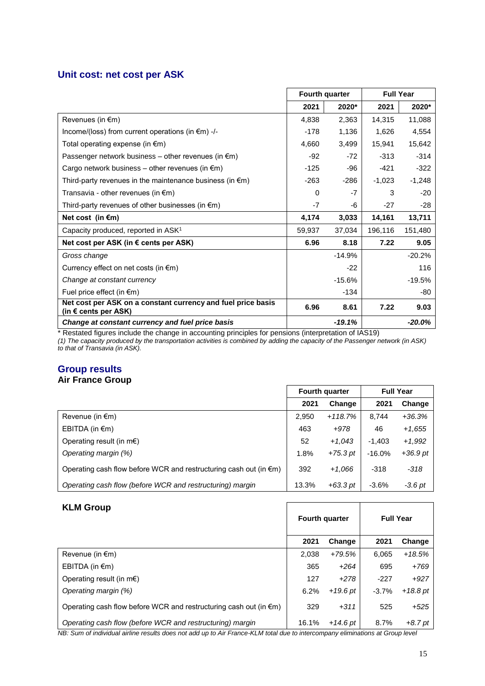# **Unit cost: net cost per ASK**

|                                                                                               | Fourth quarter |          | <b>Full Year</b> |           |
|-----------------------------------------------------------------------------------------------|----------------|----------|------------------|-----------|
|                                                                                               | 2021           | 2020*    | 2021             | 2020*     |
| Revenues (in €m)                                                                              | 4,838          | 2,363    | 14,315           | 11,088    |
| Income/(loss) from current operations (in €m) -/-                                             | $-178$         | 1,136    | 1,626            | 4,554     |
| Total operating expense (in $\epsilon$ m)                                                     | 4,660          | 3,499    | 15,941           | 15,642    |
| Passenger network business – other revenues (in $\epsilon$ m)                                 | $-92$          | $-72$    | $-313$           | $-314$    |
| Cargo network business – other revenues (in $\epsilon$ m)                                     | $-125$         | -96      | -421             | $-322$    |
| Third-party revenues in the maintenance business (in $\epsilon$ m)                            | $-263$         | $-286$   | $-1,023$         | $-1,248$  |
| Transavia - other revenues (in $\epsilon$ m)                                                  | $\Omega$       | $-7$     | 3                | $-20$     |
| Third-party revenues of other businesses (in $\epsilon$ m)                                    | $-7$           | -6       | $-27$            | -28       |
| Net cost (in $\epsilon$ m)                                                                    | 4,174          | 3,033    | 14,161           | 13,711    |
| Capacity produced, reported in ASK <sup>1</sup>                                               | 59,937         | 37,034   | 196,116          | 151,480   |
| Net cost per ASK (in $\epsilon$ cents per ASK)                                                | 6.96           | 8.18     | 7.22             | 9.05      |
| Gross change                                                                                  |                | $-14.9%$ |                  | $-20.2%$  |
| Currency effect on net costs (in $\epsilon$ m)                                                |                | $-22$    |                  | 116       |
| Change at constant currency                                                                   |                | $-15.6%$ |                  | $-19.5%$  |
| Fuel price effect (in $\epsilon$ m)                                                           |                | $-134$   |                  | -80       |
| Net cost per ASK on a constant currency and fuel price basis<br>(in $\epsilon$ cents per ASK) | 6.96           | 8.61     | 7.22             | 9.03      |
| Change at constant currency and fuel price basis                                              |                | $-19.1%$ |                  | $-20.0\%$ |

\* Restated figures include the change in accounting principles for pensions (interpretation of IAS19)

*(1) The capacity produced by the transportation activities is combined by adding the capacity of the Passenger network (in ASK) to that of Transavia (in ASK).*

## **Group results Air France Group**

|                                                                             | <b>Fourth quarter</b> |            | <b>Full Year</b> |            |
|-----------------------------------------------------------------------------|-----------------------|------------|------------------|------------|
|                                                                             | 2021                  | Change     | 2021             | Change     |
| Revenue (in $\epsilon$ m)                                                   | 2,950                 | $+118.7%$  | 8.744            | $+36.3%$   |
| EBITDA (in $\notin$ m)                                                      | 463                   | +978       | 46               | $+1,655$   |
| Operating result (in $m \in \mathbb{R}$ )                                   | 52                    | $+1,043$   | $-1.403$         | $+1.992$   |
| Operating margin (%)                                                        | 1.8%                  | $+75.3$ pt | $-16.0\%$        | $+36.9$ pt |
| Operating cash flow before WCR and restructuring cash out (in $\epsilon$ m) | 392                   | $+1,066$   | $-318$           | $-318$     |
| Operating cash flow (before WCR and restructuring) margin                   | 13.3%                 | $+63.3$ pt | $-3.6%$          | $-3.6pt$   |

| <b>KLM Group</b>                                                            |       | Fourth quarter | <b>Full Year</b> |           |  |
|-----------------------------------------------------------------------------|-------|----------------|------------------|-----------|--|
|                                                                             | 2021  | Change         | 2021             | Change    |  |
| Revenue (in $\epsilon$ m)                                                   | 2,038 | +79.5%         | 6.065            | $+18.5%$  |  |
| EBITDA (in $\epsilon$ m)                                                    | 365   | $+264$         | 695              | $+769$    |  |
| Operating result (in $m \in \mathbb{R}$ )                                   | 127   | $+278$         | $-227$           | $+927$    |  |
| Operating margin (%)                                                        | 6.2%  | $+19.6$ pt     | $-3.7%$          | $+18.8pt$ |  |
| Operating cash flow before WCR and restructuring cash out (in $\epsilon$ m) | 329   | $+311$         | 525              | $+525$    |  |
| Operating cash flow (before WCR and restructuring) margin                   | 16.1% | $+14.6$ pt     | 8.7%             | $+8.7$ pt |  |

*NB: Sum of individual airline results does not add up to Air France-KLM total due to intercompany eliminations at Group level*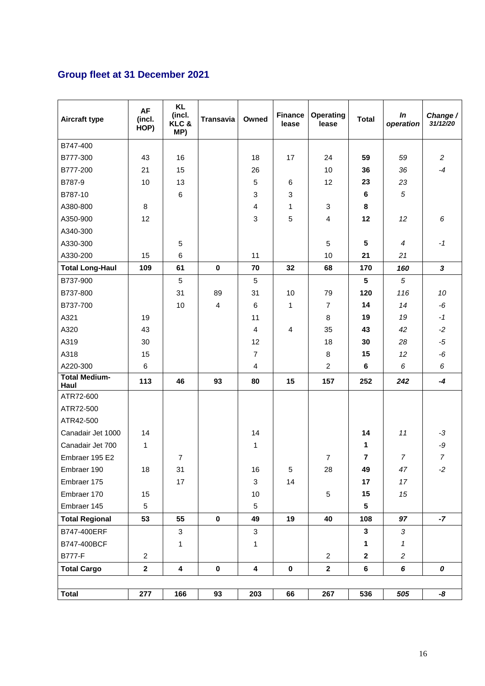# **Group fleet at 31 December 2021**

| <b>Aircraft type</b>         | AF<br>(incl.<br>HOP) | <b>KL</b><br>(incl.<br>KLC&<br>MP) | <b>Transavia</b> | Owned          | <b>Finance</b><br>lease | Operating<br>lease | <b>Total</b>            | In<br>operation | Change /<br>31/12/20 |
|------------------------------|----------------------|------------------------------------|------------------|----------------|-------------------------|--------------------|-------------------------|-----------------|----------------------|
| B747-400                     |                      |                                    |                  |                |                         |                    |                         |                 |                      |
| B777-300                     | 43                   | 16                                 |                  | 18             | 17                      | 24                 | 59                      | 59              | $\overline{c}$       |
| B777-200                     | 21                   | 15                                 |                  | 26             |                         | 10                 | 36                      | 36              | $-4$                 |
| B787-9                       | 10                   | 13                                 |                  | 5              | 6                       | 12                 | 23                      | 23              |                      |
| B787-10                      |                      | $6\phantom{1}6$                    |                  | 3              | 3                       |                    | 6                       | 5               |                      |
| A380-800                     | 8                    |                                    |                  | 4              | $\mathbf{1}$            | 3                  | 8                       |                 |                      |
| A350-900                     | 12                   |                                    |                  | 3              | 5                       | 4                  | 12                      | 12              | 6                    |
| A340-300                     |                      |                                    |                  |                |                         |                    |                         |                 |                      |
| A330-300                     |                      | 5                                  |                  |                |                         | 5                  | $5\phantom{.0}$         | $\overline{4}$  | $-1$                 |
| A330-200                     | 15                   | 6                                  |                  | 11             |                         | 10                 | 21                      | 21              |                      |
| <b>Total Long-Haul</b>       | 109                  | 61                                 | $\mathbf 0$      | 70             | 32                      | 68                 | 170                     | 160             | $\mathbf{3}$         |
| B737-900                     |                      | $\sqrt{5}$                         |                  | $\sqrt{5}$     |                         |                    | $5\phantom{.0}$         | $\sqrt{5}$      |                      |
| B737-800                     |                      | 31                                 | 89               | 31             | 10                      | 79                 | 120                     | 116             | 10                   |
| B737-700                     |                      | 10                                 | 4                | $\,6\,$        | 1                       | $\overline{7}$     | 14                      | 14              | - $6\,$              |
| A321                         | 19                   |                                    |                  | 11             |                         | 8                  | 19                      | 19              | $-1$                 |
| A320                         | 43                   |                                    |                  | 4              | 4                       | 35                 | 43                      | 42              | $-2$                 |
| A319                         | 30                   |                                    |                  | 12             |                         | 18                 | 30                      | 28              | $-5$                 |
| A318                         | 15                   |                                    |                  | $\overline{7}$ |                         | 8                  | 15                      | 12              | - $6\,$              |
| A220-300                     | $\,6$                |                                    |                  | 4              |                         | $\overline{c}$     | 6                       | 6               | 6                    |
| <b>Total Medium-</b><br>Haul | 113                  | 46                                 | 93               | 80             | 15                      | 157                | 252                     | 242             | $-4$                 |
| ATR72-600                    |                      |                                    |                  |                |                         |                    |                         |                 |                      |
| ATR72-500                    |                      |                                    |                  |                |                         |                    |                         |                 |                      |
| ATR42-500                    |                      |                                    |                  |                |                         |                    |                         |                 |                      |
| Canadair Jet 1000            | 14                   |                                    |                  | 14             |                         |                    | 14                      | 11              | $-3$                 |
| Canadair Jet 700             | 1                    |                                    |                  | 1              |                         |                    | 1                       |                 | $-9$                 |
| Embraer 195 E2               |                      | $\overline{7}$                     |                  |                |                         | $\overline{7}$     | $\overline{\mathbf{r}}$ | $\overline{7}$  | $\overline{7}$       |
| Embraer 190                  | 18                   | 31                                 |                  | 16             | 5                       | 28                 | 49                      | 47              | $-2$                 |
| Embraer 175                  |                      | 17                                 |                  | 3              | 14                      |                    | 17                      | 17              |                      |
| Embraer 170                  | 15                   |                                    |                  | 10             |                         | 5                  | 15                      | 15              |                      |
| Embraer 145                  | $\sqrt{5}$           |                                    |                  | 5              |                         |                    | $5\phantom{.0}$         |                 |                      |
| <b>Total Regional</b>        | 53                   | 55                                 | $\mathbf 0$      | 49             | 19                      | 40                 | 108                     | 97              | $-7$                 |
| B747-400ERF                  |                      | 3                                  |                  | 3              |                         |                    | $\mathbf{3}$            | $\mathfrak{Z}$  |                      |
| B747-400BCF                  |                      | 1                                  |                  | 1              |                         |                    | 1                       | 1               |                      |
| <b>B777-F</b>                | $\overline{c}$       |                                    |                  |                |                         | $\overline{a}$     | $\mathbf{2}$            | $\overline{c}$  |                      |
| <b>Total Cargo</b>           | $\mathbf 2$          | 4                                  | $\pmb{0}$        | 4              | $\pmb{0}$               | $\mathbf{2}$       | 6                       | 6               | 0                    |
|                              |                      |                                    |                  |                |                         |                    |                         |                 |                      |
| <b>Total</b>                 | 277                  | 166                                | 93               | 203            | 66                      | 267                | 536                     | 505             | -8                   |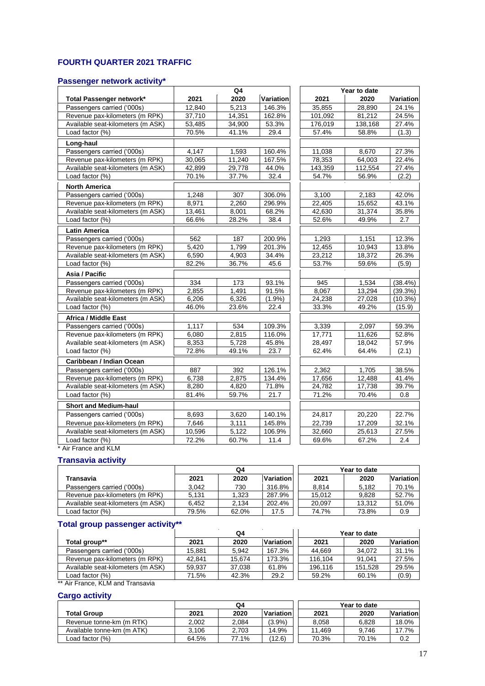## **FOURTH QUARTER 2021 TRAFFIC**

#### **Passenger network activity\***

|                                   | Q4     |        |           |         | Year to date |            |
|-----------------------------------|--------|--------|-----------|---------|--------------|------------|
| Total Passenger network*          | 2021   | 2020   | Variation | 2021    | 2020         | Variation  |
| Passengers carried ('000s)        | 12.840 | 5,213  | 146.3%    | 35.855  | 28.890       | 24.1%      |
| Revenue pax-kilometers (m RPK)    | 37,710 | 14,351 | 162.8%    | 101,092 | 81,212       | 24.5%      |
| Available seat-kilometers (m ASK) | 53,485 | 34,900 | 53.3%     | 176,019 | 138,168      | 27.4%      |
| Load factor (%)                   | 70.5%  | 41.1%  | 29.4      | 57.4%   | 58.8%        | (1.3)      |
| Long-haul                         |        |        |           |         |              |            |
| Passengers carried ('000s)        | 4,147  | 1,593  | 160.4%    | 11,038  | 8,670        | 27.3%      |
| Revenue pax-kilometers (m RPK)    | 30,065 | 11,240 | 167.5%    | 78,353  | 64,003       | 22.4%      |
| Available seat-kilometers (m ASK) | 42,899 | 29,778 | 44.0%     | 143,359 | 112,554      | 27.4%      |
| Load factor (%)                   | 70.1%  | 37.7%  | 32.4      | 54.7%   | 56.9%        | (2.2)      |
| <b>North America</b>              |        |        |           |         |              |            |
| Passengers carried ('000s)        | 1.248  | 307    | 306.0%    | 3,100   | 2,183        | 42.0%      |
| Revenue pax-kilometers (m RPK)    | 8,971  | 2.260  | 296.9%    | 22.405  | 15,652       | 43.1%      |
| Available seat-kilometers (m ASK) | 13,461 | 8,001  | 68.2%     | 42,630  | 31,374       | 35.8%      |
| Load factor (%)                   | 66.6%  | 28.2%  | 38.4      | 52.6%   | 49.9%        | 2.7        |
| <b>Latin America</b>              |        |        |           |         |              |            |
| Passengers carried ('000s)        | 562    | 187    | 200.9%    | 1,293   | 1,151        | 12.3%      |
| Revenue pax-kilometers (m RPK)    | 5.420  | 1.799  | 201.3%    | 12.455  | 10,943       | 13.8%      |
| Available seat-kilometers (m ASK) | 6,590  | 4,903  | 34.4%     | 23,212  | 18,372       | 26.3%      |
| Load factor (%)                   | 82.2%  | 36.7%  | 45.6      | 53.7%   | 59.6%        | (5.9)      |
| Asia / Pacific                    |        |        |           |         |              |            |
| Passengers carried ('000s)        | 334    | 173    | 93.1%     | 945     | 1,534        | (38.4%)    |
| Revenue pax-kilometers (m RPK)    | 2.855  | 1,491  | 91.5%     | 8,067   | 13,294       | $(39.3\%)$ |
| Available seat-kilometers (m ASK) | 6,206  | 6,326  | (1.9%     | 24,238  | 27,028       | (10.3%)    |
| Load factor (%)                   | 46.0%  | 23.6%  | 22.4      | 33.3%   | 49.2%        | (15.9)     |
| <b>Africa / Middle East</b>       |        |        |           |         |              |            |
| Passengers carried ('000s)        | 1,117  | 534    | 109.3%    | 3,339   | 2,097        | 59.3%      |
| Revenue pax-kilometers (m RPK)    | 6.080  | 2.815  | 116.0%    | 17,771  | 11.626       | 52.8%      |
| Available seat-kilometers (m ASK) | 8,353  | 5,728  | 45.8%     | 28,497  | 18,042       | 57.9%      |
| Load factor (%)                   | 72.8%  | 49.1%  | 23.7      | 62.4%   | 64.4%        | (2.1)      |
| Caribbean / Indian Ocean          |        |        |           |         |              |            |
| Passengers carried ('000s)        | 887    | 392    | 126.1%    | 2,362   | 1,705        | 38.5%      |
| Revenue pax-kilometers (m RPK)    | 6.738  | 2.875  | 134.4%    | 17,656  | 12,488       | 41.4%      |
| Available seat-kilometers (m ASK) | 8,280  | 4.820  | 71.8%     | 24.782  | 17.738       | 39.7%      |
| Load factor (%)                   | 81.4%  | 59.7%  | 21.7      | 71.2%   | 70.4%        | 0.8        |
| <b>Short and Medium-haul</b>      |        |        |           |         |              |            |
| Passengers carried ('000s)        | 8,693  | 3,620  | 140.1%    | 24,817  | 20,220       | 22.7%      |
| Revenue pax-kilometers (m RPK)    | 7,646  | 3,111  | 145.8%    | 22,739  | 17,209       | 32.1%      |
| Available seat-kilometers (m ASK) | 10,596 | 5,122  | 106.9%    | 32,660  | 25,613       | 27.5%      |
| Load factor (%)                   | 72.2%  | 60.7%  | 11.4      | 69.6%   | 67.2%        | 2.4        |

\* Air France and KLM

### **Transavia activity**

|                                   |       | Q4    |           |        | Year to date |                  |
|-----------------------------------|-------|-------|-----------|--------|--------------|------------------|
| Transavia                         | 2021  | 2020  | Variation | 2021   | 2020         | <b>Variation</b> |
| Passengers carried ('000s)        | 3.042 | 730   | 316.8%    | 8.814  | 5.182        | 70.1%            |
| Revenue pax-kilometers (m RPK)    | 5.131 | 1.323 | 287.9%    | 15.012 | 9.828        | 52.7%            |
| Available seat-kilometers (m ASK) | 6.452 | 2.134 | 202.4%    | 20.097 | 13.312       | 51.0%            |
| Load factor (%)                   | 79.5% | 62.0% | 17.5      | 74.7%  | 73.8%        | 0.9              |

#### **Total group passenger activity\*\***

|                                   |        | Q4     |           |         | Year to date |                  |
|-----------------------------------|--------|--------|-----------|---------|--------------|------------------|
| Total group**                     | 2021   | 2020   | Variation | 2021    | 2020         | <b>Variation</b> |
| Passengers carried ('000s)        | 15.881 | 5.942  | 167.3%    | 44.669  | 34.072       | 31.1%            |
| Revenue pax-kilometers (m RPK)    | 42.841 | 15.674 | 173.3%    | 116.104 | 91.041       | 27.5%            |
| Available seat-kilometers (m ASK) | 59.937 | 37.038 | 61.8%     | 196.116 | 151.528      | 29.5%            |
| Load factor (%)                   | 71.5%  | 42.3%  | 29.2      | 59.2%   | 60.1%        | (0.9)            |

\*\* Air France, KLM and Transavia

### **Cargo activity**

|                            | Q4    |       |                  | Year to date |       |                  |  |
|----------------------------|-------|-------|------------------|--------------|-------|------------------|--|
| <b>Total Group</b>         | 2021  | 2020  | <b>Variation</b> | 2021         | 2020  | <b>Variation</b> |  |
| Revenue tonne-km (m RTK)   | 2.002 | 2.084 | $(3.9\%)$        | 8.058        | 6.828 | 18.0%            |  |
| Available tonne-km (m ATK) | 3.106 | 2.703 | 14.9%            | 11.469       | 9.746 | 17.7%            |  |
| Load factor (%)            | 64.5% | 77.1% | (12.6)           | 70.3%        | 70.1% | 0.2              |  |